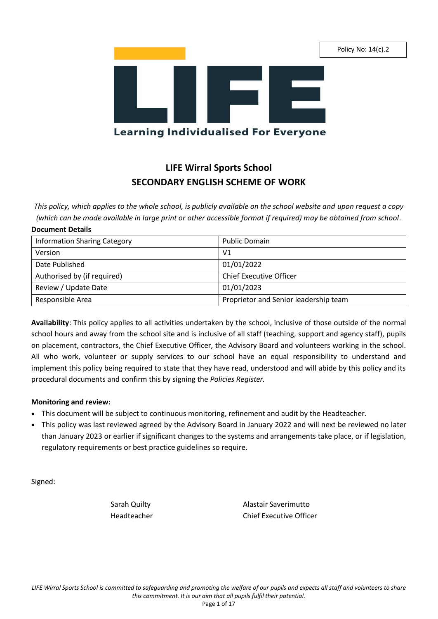Policy No: 14(c).2



# **LIFE Wirral Sports School SECONDARY ENGLISH SCHEME OF WORK**

*This policy, which applies to the whole school, is publicly available on the school website and upon request a copy (which can be made available in large print or other accessible format if required) may be obtained from school.*

### **Document Details**

| <b>Information Sharing Category</b> | <b>Public Domain</b>                  |
|-------------------------------------|---------------------------------------|
| Version                             | V <sub>1</sub>                        |
| Date Published                      | 01/01/2022                            |
| Authorised by (if required)         | <b>Chief Executive Officer</b>        |
| Review / Update Date                | 01/01/2023                            |
| Responsible Area                    | Proprietor and Senior leadership team |

**Availability**: This policy applies to all activities undertaken by the school, inclusive of those outside of the normal school hours and away from the school site and is inclusive of all staff (teaching, support and agency staff), pupils on placement, contractors, the Chief Executive Officer, the Advisory Board and volunteers working in the school. All who work, volunteer or supply services to our school have an equal responsibility to understand and implement this policy being required to state that they have read, understood and will abide by this policy and its procedural documents and confirm this by signing the *Policies Register.*

### **Monitoring and review:**

- This document will be subject to continuous monitoring, refinement and audit by the Headteacher.
- This policy was last reviewed agreed by the Advisory Board in January 2022 and will next be reviewed no later than January 2023 or earlier if significant changes to the systems and arrangements take place, or if legislation, regulatory requirements or best practice guidelines so require.

Signed:

Sarah Quilty **Alastair Saverimutto** Headteacher Chief Executive Officer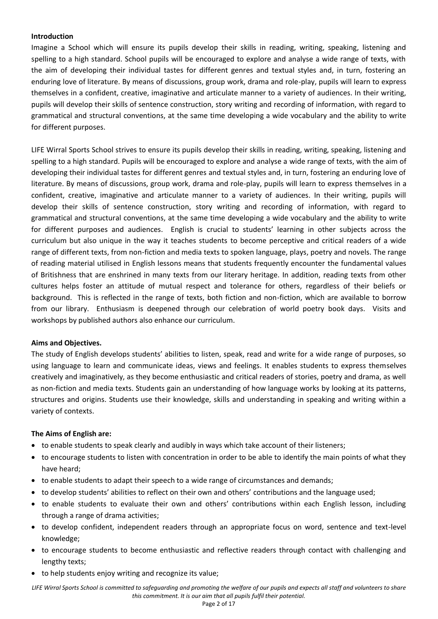### **Introduction**

Imagine a School which will ensure its pupils develop their skills in reading, writing, speaking, listening and spelling to a high standard. School pupils will be encouraged to explore and analyse a wide range of texts, with the aim of developing their individual tastes for different genres and textual styles and, in turn, fostering an enduring love of literature. By means of discussions, group work, drama and role-play, pupils will learn to express themselves in a confident, creative, imaginative and articulate manner to a variety of audiences. In their writing, pupils will develop their skills of sentence construction, story writing and recording of information, with regard to grammatical and structural conventions, at the same time developing a wide vocabulary and the ability to write for different purposes.

LIFE Wirral Sports School strives to ensure its pupils develop their skills in reading, writing, speaking, listening and spelling to a high standard. Pupils will be encouraged to explore and analyse a wide range of texts, with the aim of developing their individual tastes for different genres and textual styles and, in turn, fostering an enduring love of literature. By means of discussions, group work, drama and role-play, pupils will learn to express themselves in a confident, creative, imaginative and articulate manner to a variety of audiences. In their writing, pupils will develop their skills of sentence construction, story writing and recording of information, with regard to grammatical and structural conventions, at the same time developing a wide vocabulary and the ability to write for different purposes and audiences. English is crucial to students' learning in other subjects across the curriculum but also unique in the way it teaches students to become perceptive and critical readers of a wide range of different texts, from non-fiction and media texts to spoken language, plays, poetry and novels. The range of reading material utilised in English lessons means that students frequently encounter the fundamental values of Britishness that are enshrined in many texts from our literary heritage. In addition, reading texts from other cultures helps foster an attitude of mutual respect and tolerance for others, regardless of their beliefs or background. This is reflected in the range of texts, both fiction and non-fiction, which are available to borrow from our library. Enthusiasm is deepened through our celebration of world poetry book days. Visits and workshops by published authors also enhance our curriculum.

### **Aims and Objectives.**

The study of English develops students' abilities to listen, speak, read and write for a wide range of purposes, so using language to learn and communicate ideas, views and feelings. It enables students to express themselves creatively and imaginatively, as they become enthusiastic and critical readers of stories, poetry and drama, as well as non-fiction and media texts. Students gain an understanding of how language works by looking at its patterns, structures and origins. Students use their knowledge, skills and understanding in speaking and writing within a variety of contexts.

### **The Aims of English are:**

- to enable students to speak clearly and audibly in ways which take account of their listeners;
- to encourage students to listen with concentration in order to be able to identify the main points of what they have heard;
- to enable students to adapt their speech to a wide range of circumstances and demands;
- to develop students' abilities to reflect on their own and others' contributions and the language used;
- to enable students to evaluate their own and others' contributions within each English lesson, including through a range of drama activities;
- to develop confident, independent readers through an appropriate focus on word, sentence and text-level knowledge;
- to encourage students to become enthusiastic and reflective readers through contact with challenging and lengthy texts;
- to help students enjoy writing and recognize its value;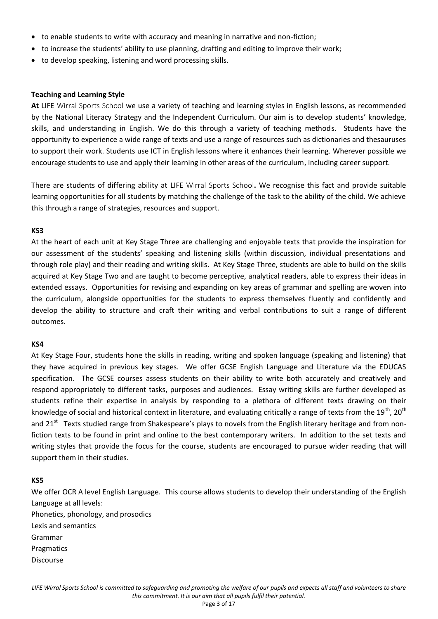- to enable students to write with accuracy and meaning in narrative and non-fiction;
- to increase the students' ability to use planning, drafting and editing to improve their work;
- to develop speaking, listening and word processing skills.

#### **Teaching and Learning Style**

**At** LIFE Wirral Sports School we use a variety of teaching and learning styles in English lessons, as recommended by the National Literacy Strategy and the Independent Curriculum. Our aim is to develop students' knowledge, skills, and understanding in English. We do this through a variety of teaching methods. Students have the opportunity to experience a wide range of texts and use a range of resources such as dictionaries and thesauruses to support their work. Students use ICT in English lessons where it enhances their learning. Wherever possible we encourage students to use and apply their learning in other areas of the curriculum, including career support.

There are students of differing ability at LIFE Wirral Sports School**.** We recognise this fact and provide suitable learning opportunities for all students by matching the challenge of the task to the ability of the child. We achieve this through a range of strategies, resources and support.

### **KS3**

At the heart of each unit at Key Stage Three are challenging and enjoyable texts that provide the inspiration for our assessment of the students' speaking and listening skills (within discussion, individual presentations and through role play) and their reading and writing skills. At Key Stage Three, students are able to build on the skills acquired at Key Stage Two and are taught to become perceptive, analytical readers, able to express their ideas in extended essays. Opportunities for revising and expanding on key areas of grammar and spelling are woven into the curriculum, alongside opportunities for the students to express themselves fluently and confidently and develop the ability to structure and craft their writing and verbal contributions to suit a range of different outcomes.

#### **KS4**

At Key Stage Four, students hone the skills in reading, writing and spoken language (speaking and listening) that they have acquired in previous key stages. We offer GCSE English Language and Literature via the EDUCAS specification. The GCSE courses assess students on their ability to write both accurately and creatively and respond appropriately to different tasks, purposes and audiences. Essay writing skills are further developed as students refine their expertise in analysis by responding to a plethora of different texts drawing on their knowledge of social and historical context in literature, and evaluating critically a range of texts from the  $19^{th}$ ,  $20^{th}$ and 21<sup>st</sup> Texts studied range from Shakespeare's plays to novels from the English literary heritage and from nonfiction texts to be found in print and online to the best contemporary writers. In addition to the set texts and writing styles that provide the focus for the course, students are encouraged to pursue wider reading that will support them in their studies.

#### **KS5**

We offer OCR A level English Language. This course allows students to develop their understanding of the English Language at all levels: Phonetics, phonology, and prosodics Lexis and semantics Grammar Pragmatics Discourse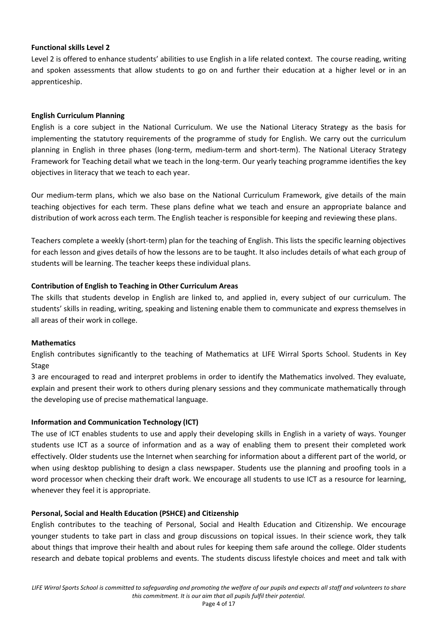### **Functional skills Level 2**

Level 2 is offered to enhance students' abilities to use English in a life related context. The course reading, writing and spoken assessments that allow students to go on and further their education at a higher level or in an apprenticeship.

### **English Curriculum Planning**

English is a core subject in the National Curriculum. We use the National Literacy Strategy as the basis for implementing the statutory requirements of the programme of study for English. We carry out the curriculum planning in English in three phases (long-term, medium-term and short-term). The National Literacy Strategy Framework for Teaching detail what we teach in the long-term. Our yearly teaching programme identifies the key objectives in literacy that we teach to each year.

Our medium-term plans, which we also base on the National Curriculum Framework, give details of the main teaching objectives for each term. These plans define what we teach and ensure an appropriate balance and distribution of work across each term. The English teacher is responsible for keeping and reviewing these plans.

Teachers complete a weekly (short-term) plan for the teaching of English. This lists the specific learning objectives for each lesson and gives details of how the lessons are to be taught. It also includes details of what each group of students will be learning. The teacher keeps these individual plans.

### **Contribution of English to Teaching in Other Curriculum Areas**

The skills that students develop in English are linked to, and applied in, every subject of our curriculum. The students' skills in reading, writing, speaking and listening enable them to communicate and express themselves in all areas of their work in college.

### **Mathematics**

English contributes significantly to the teaching of Mathematics at LIFE Wirral Sports School. Students in Key Stage

3 are encouraged to read and interpret problems in order to identify the Mathematics involved. They evaluate, explain and present their work to others during plenary sessions and they communicate mathematically through the developing use of precise mathematical language.

### **Information and Communication Technology (ICT)**

The use of ICT enables students to use and apply their developing skills in English in a variety of ways. Younger students use ICT as a source of information and as a way of enabling them to present their completed work effectively. Older students use the Internet when searching for information about a different part of the world, or when using desktop publishing to design a class newspaper. Students use the planning and proofing tools in a word processor when checking their draft work. We encourage all students to use ICT as a resource for learning, whenever they feel it is appropriate.

### **Personal, Social and Health Education (PSHCE) and Citizenship**

English contributes to the teaching of Personal, Social and Health Education and Citizenship. We encourage younger students to take part in class and group discussions on topical issues. In their science work, they talk about things that improve their health and about rules for keeping them safe around the college. Older students research and debate topical problems and events. The students discuss lifestyle choices and meet and talk with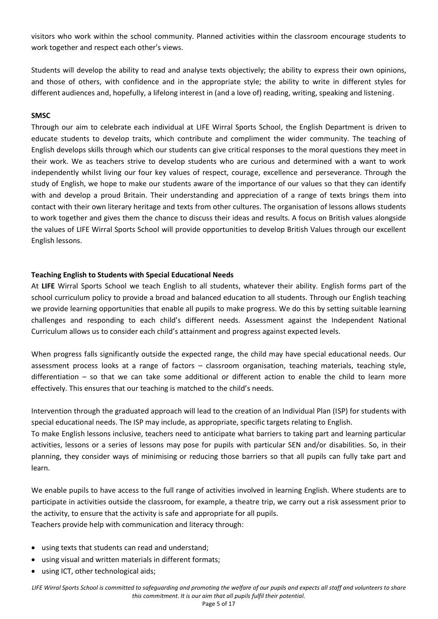visitors who work within the school community. Planned activities within the classroom encourage students to work together and respect each other's views.

Students will develop the ability to read and analyse texts objectively; the ability to express their own opinions, and those of others, with confidence and in the appropriate style; the ability to write in different styles for different audiences and, hopefully, a lifelong interest in (and a love of) reading, writing, speaking and listening.

## **SMSC**

Through our aim to celebrate each individual at LIFE Wirral Sports School, the English Department is driven to educate students to develop traits, which contribute and compliment the wider community. The teaching of English develops skills through which our students can give critical responses to the moral questions they meet in their work. We as teachers strive to develop students who are curious and determined with a want to work independently whilst living our four key values of respect, courage, excellence and perseverance. Through the study of English, we hope to make our students aware of the importance of our values so that they can identify with and develop a proud Britain. Their understanding and appreciation of a range of texts brings them into contact with their own literary heritage and texts from other cultures. The organisation of lessons allows students to work together and gives them the chance to discuss their ideas and results. A focus on British values alongside the values of LIFE Wirral Sports School will provide opportunities to develop British Values through our excellent English lessons.

### **Teaching English to Students with Special Educational Needs**

At **LIFE** Wirral Sports School we teach English to all students, whatever their ability. English forms part of the school curriculum policy to provide a broad and balanced education to all students. Through our English teaching we provide learning opportunities that enable all pupils to make progress. We do this by setting suitable learning challenges and responding to each child's different needs. Assessment against the Independent National Curriculum allows us to consider each child's attainment and progress against expected levels.

When progress falls significantly outside the expected range, the child may have special educational needs. Our assessment process looks at a range of factors – classroom organisation, teaching materials, teaching style, differentiation – so that we can take some additional or different action to enable the child to learn more effectively. This ensures that our teaching is matched to the child's needs.

Intervention through the graduated approach will lead to the creation of an Individual Plan (ISP) for students with special educational needs. The ISP may include, as appropriate, specific targets relating to English.

To make English lessons inclusive, teachers need to anticipate what barriers to taking part and learning particular activities, lessons or a series of lessons may pose for pupils with particular SEN and/or disabilities. So, in their planning, they consider ways of minimising or reducing those barriers so that all pupils can fully take part and learn.

We enable pupils to have access to the full range of activities involved in learning English. Where students are to participate in activities outside the classroom, for example, a theatre trip, we carry out a risk assessment prior to the activity, to ensure that the activity is safe and appropriate for all pupils. Teachers provide help with communication and literacy through:

- using texts that students can read and understand;
- using visual and written materials in different formats;
- using ICT, other technological aids;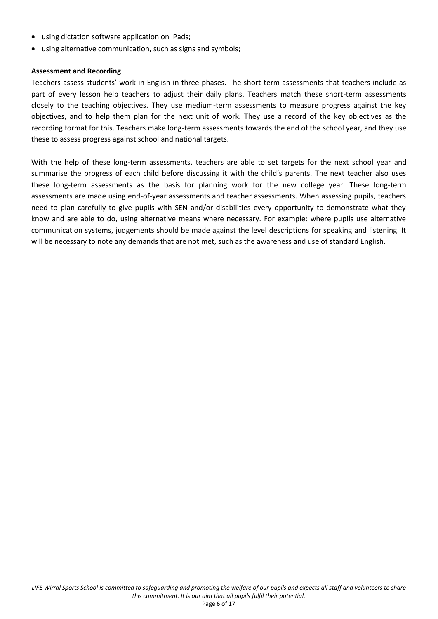- using dictation software application on iPads;
- using alternative communication, such as signs and symbols;

### **Assessment and Recording**

Teachers assess students' work in English in three phases. The short-term assessments that teachers include as part of every lesson help teachers to adjust their daily plans. Teachers match these short-term assessments closely to the teaching objectives. They use medium-term assessments to measure progress against the key objectives, and to help them plan for the next unit of work. They use a record of the key objectives as the recording format for this. Teachers make long-term assessments towards the end of the school year, and they use these to assess progress against school and national targets.

With the help of these long-term assessments, teachers are able to set targets for the next school year and summarise the progress of each child before discussing it with the child's parents. The next teacher also uses these long-term assessments as the basis for planning work for the new college year. These long-term assessments are made using end-of-year assessments and teacher assessments. When assessing pupils, teachers need to plan carefully to give pupils with SEN and/or disabilities every opportunity to demonstrate what they know and are able to do, using alternative means where necessary. For example: where pupils use alternative communication systems, judgements should be made against the level descriptions for speaking and listening. It will be necessary to note any demands that are not met, such as the awareness and use of standard English.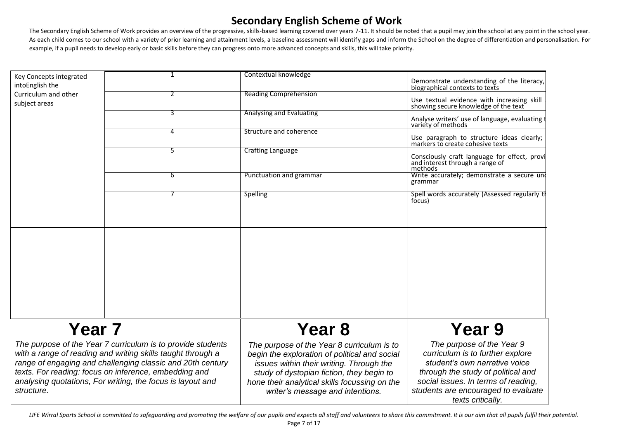The Secondary English Scheme of Work provides an overview of the progressive, skills-based learning covered over years 7-11. It should be noted that a pupil may join the school at any point in the school year. As each child comes to our school with a variety of prior learning and attainment levels, a baseline assessment will identify gaps and inform the School on the degree of differentiation and personalisation. For example, if a pupil needs to develop early or basic skills before they can progress onto more advanced concepts and skills, this will take priority.

|                                                                                                                                                                                                                                                                                                                               | $\mathbf{1}$ | Contextual knowledge                                                                                                                                                                                                                                                      |                                                                                                                                                                                                                                         |
|-------------------------------------------------------------------------------------------------------------------------------------------------------------------------------------------------------------------------------------------------------------------------------------------------------------------------------|--------------|---------------------------------------------------------------------------------------------------------------------------------------------------------------------------------------------------------------------------------------------------------------------------|-----------------------------------------------------------------------------------------------------------------------------------------------------------------------------------------------------------------------------------------|
| Key Concepts integrated<br>intoEnglish the                                                                                                                                                                                                                                                                                    |              |                                                                                                                                                                                                                                                                           | Demonstrate understanding of the literacy,<br>biographical contexts to texts                                                                                                                                                            |
| Curriculum and other<br>subject areas                                                                                                                                                                                                                                                                                         |              | <b>Reading Comprehension</b>                                                                                                                                                                                                                                              | Use textual evidence with increasing skill showing secure knowledge of the text                                                                                                                                                         |
|                                                                                                                                                                                                                                                                                                                               | 3            | <b>Analysing and Evaluating</b>                                                                                                                                                                                                                                           | Analyse writers' use of language, evaluating t<br>variety of methods                                                                                                                                                                    |
|                                                                                                                                                                                                                                                                                                                               | 4            | Structure and coherence                                                                                                                                                                                                                                                   | Use paragraph to structure ideas clearly;<br>markers to create cohesive texts                                                                                                                                                           |
|                                                                                                                                                                                                                                                                                                                               | 5            | <b>Crafting Language</b>                                                                                                                                                                                                                                                  | Consciously craft language for effect, provi<br>and interest through a range of<br>methods                                                                                                                                              |
|                                                                                                                                                                                                                                                                                                                               | 6            | Punctuation and grammar                                                                                                                                                                                                                                                   | Write accurately; demonstrate a secure une<br>grammar                                                                                                                                                                                   |
|                                                                                                                                                                                                                                                                                                                               |              | <b>Spelling</b>                                                                                                                                                                                                                                                           | Spell words accurately (Assessed regularly tl<br>focus)                                                                                                                                                                                 |
|                                                                                                                                                                                                                                                                                                                               |              |                                                                                                                                                                                                                                                                           |                                                                                                                                                                                                                                         |
|                                                                                                                                                                                                                                                                                                                               |              |                                                                                                                                                                                                                                                                           |                                                                                                                                                                                                                                         |
|                                                                                                                                                                                                                                                                                                                               |              |                                                                                                                                                                                                                                                                           |                                                                                                                                                                                                                                         |
|                                                                                                                                                                                                                                                                                                                               |              |                                                                                                                                                                                                                                                                           |                                                                                                                                                                                                                                         |
|                                                                                                                                                                                                                                                                                                                               |              |                                                                                                                                                                                                                                                                           |                                                                                                                                                                                                                                         |
|                                                                                                                                                                                                                                                                                                                               |              |                                                                                                                                                                                                                                                                           |                                                                                                                                                                                                                                         |
| Year <sub>7</sub>                                                                                                                                                                                                                                                                                                             |              | Year <sub>8</sub>                                                                                                                                                                                                                                                         | Year 9                                                                                                                                                                                                                                  |
| The purpose of the Year 7 curriculum is to provide students<br>with a range of reading and writing skills taught through a<br>range of engaging and challenging classic and 20th century<br>texts. For reading: focus on inference, embedding and<br>analysing quotations, For writing, the focus is layout and<br>structure. |              | The purpose of the Year 8 curriculum is to<br>begin the exploration of political and social<br>issues within their writing. Through the<br>study of dystopian fiction, they begin to<br>hone their analytical skills focussing on the<br>writer's message and intentions. | The purpose of the Year 9<br>curriculum is to further explore<br>student's own narrative voice<br>through the study of political and<br>social issues. In terms of reading,<br>students are encouraged to evaluate<br>texts critically. |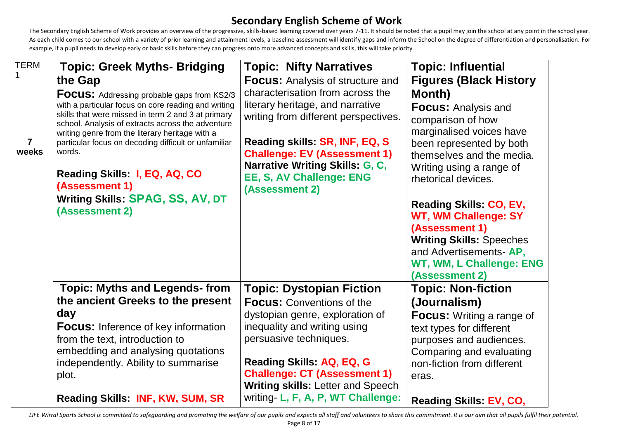The Secondary English Scheme of Work provides an overview of the progressive, skills-based learning covered over years 7-11. It should be noted that a pupil may join the school at any point in the school year. As each child comes to our school with a variety of prior learning and attainment levels, a baseline assessment will identify gaps and inform the School on the degree of differentiation and personalisation. For example, if a pupil needs to develop early or basic skills before they can progress onto more advanced concepts and skills, this will take priority.

| <b>TERM</b>    | <b>Topic: Greek Myths- Bridging</b>                                                                       | <b>Topic: Nifty Narratives</b>                         | <b>Topic: Influential</b>                             |
|----------------|-----------------------------------------------------------------------------------------------------------|--------------------------------------------------------|-------------------------------------------------------|
|                | the Gap                                                                                                   | <b>Focus:</b> Analysis of structure and                | <b>Figures (Black History</b>                         |
|                | <b>FOCUS:</b> Addressing probable gaps from KS2/3                                                         | characterisation from across the                       | Month)                                                |
|                | with a particular focus on core reading and writing<br>skills that were missed in term 2 and 3 at primary | literary heritage, and narrative                       | <b>Focus: Analysis and</b>                            |
|                | school. Analysis of extracts across the adventure                                                         | writing from different perspectives.                   | comparison of how                                     |
| $\overline{7}$ | writing genre from the literary heritage with a<br>particular focus on decoding difficult or unfamiliar   | Reading skills: SR, INF, EQ, S                         | marginalised voices have                              |
| weeks          | words.                                                                                                    | <b>Challenge: EV (Assessment 1)</b>                    | been represented by both<br>themselves and the media. |
|                |                                                                                                           | Narrative Writing Skills: G, C,                        | Writing using a range of                              |
|                | Reading Skills: I, EQ, AQ, CO                                                                             | EE, S, AV Challenge: ENG                               | rhetorical devices.                                   |
|                | (Assessment 1)<br>Writing Skills: SPAG, SS, AV, DT                                                        | (Assessment 2)                                         |                                                       |
|                | (Assessment 2)                                                                                            |                                                        | Reading Skills: CO, EV,                               |
|                |                                                                                                           |                                                        | <b>WT, WM Challenge: SY</b>                           |
|                |                                                                                                           |                                                        | (Assessment 1)<br><b>Writing Skills: Speeches</b>     |
|                |                                                                                                           |                                                        | and Advertisements-AP,                                |
|                |                                                                                                           |                                                        | WT, WM, L Challenge: ENG                              |
|                |                                                                                                           |                                                        | (Assessment 2)                                        |
|                | <b>Topic: Myths and Legends-from</b>                                                                      | <b>Topic: Dystopian Fiction</b>                        | <b>Topic: Non-fiction</b>                             |
|                | the ancient Greeks to the present                                                                         | <b>Focus: Conventions of the</b>                       | (Journalism)                                          |
|                | day                                                                                                       | dystopian genre, exploration of                        | <b>Focus:</b> Writing a range of                      |
|                | <b>Focus:</b> Inference of key information                                                                | inequality and writing using<br>persuasive techniques. | text types for different                              |
|                | from the text, introduction to<br>embedding and analysing quotations                                      |                                                        | purposes and audiences.<br>Comparing and evaluating   |
|                | independently. Ability to summarise                                                                       | <b>Reading Skills: AQ, EQ, G</b>                       | non-fiction from different                            |
|                | plot.                                                                                                     | <b>Challenge: CT (Assessment 1)</b>                    | eras.                                                 |
|                |                                                                                                           | <b>Writing skills: Letter and Speech</b>               |                                                       |
|                | <b>Reading Skills: INF, KW, SUM, SR</b>                                                                   | writing- L, F, A, P, WT Challenge:                     | <b>Reading Skills: EV, CO,</b>                        |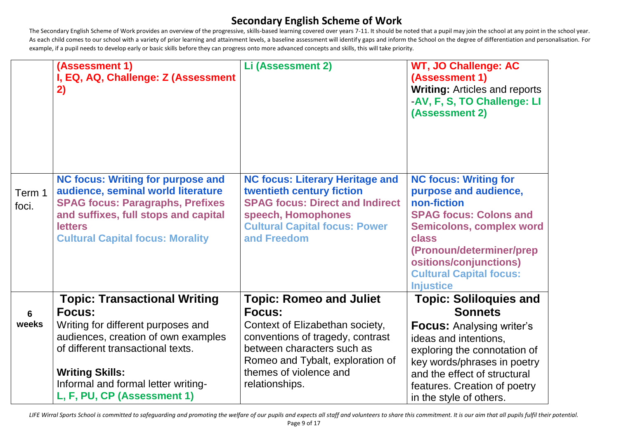The Secondary English Scheme of Work provides an overview of the progressive, skills-based learning covered over years 7-11. It should be noted that a pupil may join the school at any point in the school year. As each child comes to our school with a variety of prior learning and attainment levels, a baseline assessment will identify gaps and inform the School on the degree of differentiation and personalisation. For example, if a pupil needs to develop early or basic skills before they can progress onto more advanced concepts and skills, this will take priority.

|                 | (Assessment 1)<br>I, EQ, AQ, Challenge: Z (Assessment<br>2)                                                                                                                                                                    | Li (Assessment 2)                                                                                                                                                                          | WT, JO Challenge: AC<br>(Assessment 1)<br><b>Writing: Articles and reports</b><br>-AV, F, S, TO Challenge: LI<br>(Assessment 2)                                                                                                                               |
|-----------------|--------------------------------------------------------------------------------------------------------------------------------------------------------------------------------------------------------------------------------|--------------------------------------------------------------------------------------------------------------------------------------------------------------------------------------------|---------------------------------------------------------------------------------------------------------------------------------------------------------------------------------------------------------------------------------------------------------------|
| Term 1<br>foci. | <b>NC focus: Writing for purpose and</b><br>audience, seminal world literature<br><b>SPAG focus: Paragraphs, Prefixes</b><br>and suffixes, full stops and capital<br><b>letters</b><br><b>Cultural Capital focus: Morality</b> | <b>NC focus: Literary Heritage and</b><br>twentieth century fiction<br><b>SPAG focus: Direct and Indirect</b><br>speech, Homophones<br><b>Cultural Capital focus: Power</b><br>and Freedom | <b>NC focus: Writing for</b><br>purpose and audience,<br>non-fiction<br><b>SPAG focus: Colons and</b><br><b>Semicolons, complex word</b><br>class<br>(Pronoun/determiner/prep<br>ositions/conjunctions)<br><b>Cultural Capital focus:</b><br><b>Injustice</b> |
|                 | <b>Topic: Transactional Writing</b>                                                                                                                                                                                            | <b>Topic: Romeo and Juliet</b>                                                                                                                                                             | <b>Topic: Soliloquies and</b>                                                                                                                                                                                                                                 |
| $6\phantom{1}6$ | <b>Focus:</b>                                                                                                                                                                                                                  | <b>Focus:</b>                                                                                                                                                                              | <b>Sonnets</b>                                                                                                                                                                                                                                                |
| weeks           | Writing for different purposes and<br>audiences, creation of own examples<br>of different transactional texts.                                                                                                                 | Context of Elizabethan society,<br>conventions of tragedy, contrast<br>between characters such as<br>Romeo and Tybalt, exploration of                                                      | <b>Focus:</b> Analysing writer's<br>ideas and intentions,<br>exploring the connotation of<br>key words/phrases in poetry                                                                                                                                      |
|                 | <b>Writing Skills:</b>                                                                                                                                                                                                         | themes of violence and                                                                                                                                                                     | and the effect of structural                                                                                                                                                                                                                                  |
|                 | Informal and formal letter writing-<br>L, F, PU, CP (Assessment 1)                                                                                                                                                             | relationships.                                                                                                                                                                             | features. Creation of poetry<br>in the style of others.                                                                                                                                                                                                       |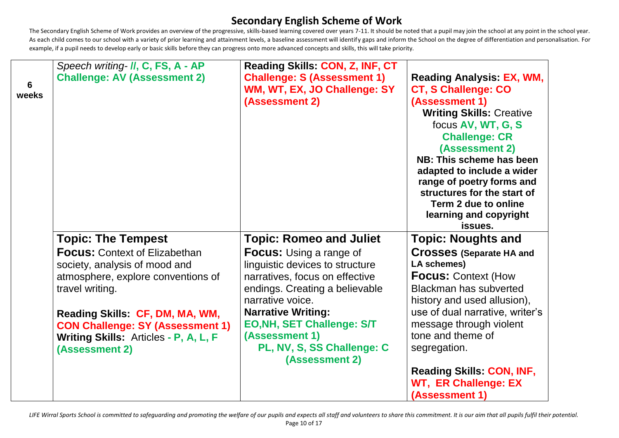The Secondary English Scheme of Work provides an overview of the progressive, skills-based learning covered over years 7-11. It should be noted that a pupil may join the school at any point in the school year. As each child comes to our school with a variety of prior learning and attainment levels, a baseline assessment will identify gaps and inform the School on the degree of differentiation and personalisation. For example, if a pupil needs to develop early or basic skills before they can progress onto more advanced concepts and skills, this will take priority.

| $6\phantom{1}6$<br>weeks | Speech writing- II, C, FS, A - AP<br><b>Challenge: AV (Assessment 2)</b>                                                              | Reading Skills: CON, Z, INF, CT<br><b>Challenge: S (Assessment 1)</b><br>WM, WT, EX, JO Challenge: SY<br>(Assessment 2)                                   | <b>Reading Analysis: EX, WM,</b><br><b>CT, S Challenge: CO</b><br>(Assessment 1)<br><b>Writing Skills: Creative</b><br>focus AV, WT, G, S<br><b>Challenge: CR</b><br>(Assessment 2)<br>NB: This scheme has been<br>adapted to include a wider<br>range of poetry forms and<br>structures for the start of<br>Term 2 due to online<br>learning and copyright<br>issues. |
|--------------------------|---------------------------------------------------------------------------------------------------------------------------------------|-----------------------------------------------------------------------------------------------------------------------------------------------------------|------------------------------------------------------------------------------------------------------------------------------------------------------------------------------------------------------------------------------------------------------------------------------------------------------------------------------------------------------------------------|
|                          | <b>Topic: The Tempest</b>                                                                                                             | <b>Topic: Romeo and Juliet</b>                                                                                                                            | <b>Topic: Noughts and</b>                                                                                                                                                                                                                                                                                                                                              |
|                          | <b>Focus: Context of Elizabethan</b><br>society, analysis of mood and<br>atmosphere, explore conventions of<br>travel writing.        | <b>Focus:</b> Using a range of<br>linguistic devices to structure<br>narratives, focus on effective<br>endings. Creating a believable<br>narrative voice. | <b>Crosses (Separate HA and</b><br><b>LA schemes)</b><br><b>Focus: Context (How</b><br>Blackman has subverted<br>history and used allusion),                                                                                                                                                                                                                           |
|                          | Reading Skills: CF, DM, MA, WM,<br><b>CON Challenge: SY (Assessment 1)</b><br>Writing Skills: Articles - P, A, L, F<br>(Assessment 2) | <b>Narrative Writing:</b><br><b>EO, NH, SET Challenge: S/T</b><br>(Assessment 1)<br>PL, NV, S, SS Challenge: C<br>(Assessment 2)                          | use of dual narrative, writer's<br>message through violent<br>tone and theme of<br>segregation.                                                                                                                                                                                                                                                                        |
|                          |                                                                                                                                       |                                                                                                                                                           | <b>Reading Skills: CON, INF,</b><br><b>WT, ER Challenge: EX</b><br>(Assessment 1)                                                                                                                                                                                                                                                                                      |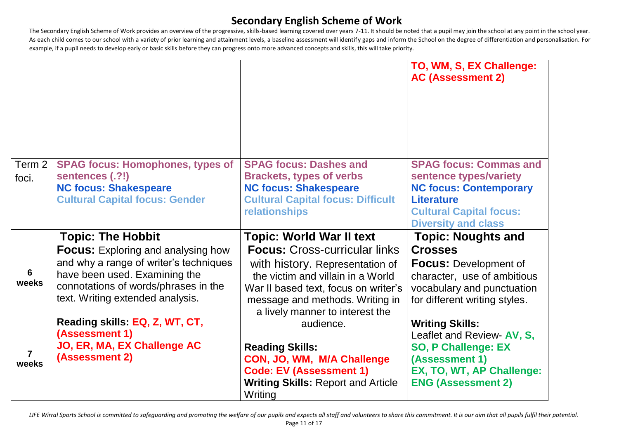The Secondary English Scheme of Work provides an overview of the progressive, skills-based learning covered over years 7-11. It should be noted that a pupil may join the school at any point in the school year. As each child comes to our school with a variety of prior learning and attainment levels, a baseline assessment will identify gaps and inform the School on the degree of differentiation and personalisation. For example, if a pupil needs to develop early or basic skills before they can progress onto more advanced concepts and skills, this will take priority.

|        |                                                            |                                                                             | TO, WM, S, EX Challenge:<br><b>AC (Assessment 2)</b>    |
|--------|------------------------------------------------------------|-----------------------------------------------------------------------------|---------------------------------------------------------|
|        |                                                            |                                                                             |                                                         |
|        |                                                            |                                                                             |                                                         |
| Term 2 | <b>SPAG focus: Homophones, types of</b><br>sentences (.?!) | <b>SPAG focus: Dashes and</b><br><b>Brackets, types of verbs</b>            | <b>SPAG focus: Commas and</b><br>sentence types/variety |
| foci.  | <b>NC focus: Shakespeare</b>                               | <b>NC focus: Shakespeare</b>                                                | <b>NC focus: Contemporary</b>                           |
|        | <b>Cultural Capital focus: Gender</b>                      | <b>Cultural Capital focus: Difficult</b>                                    | <b>Literature</b>                                       |
|        |                                                            | <b>relationships</b>                                                        | <b>Cultural Capital focus:</b>                          |
|        | <b>Topic: The Hobbit</b>                                   | <b>Topic: World War II text</b>                                             | <b>Diversity and class</b><br><b>Topic: Noughts and</b> |
|        | <b>Focus:</b> Exploring and analysing how                  | <b>Focus: Cross-curricular links</b>                                        | <b>Crosses</b>                                          |
|        | and why a range of writer's techniques                     | with history. Representation of                                             | <b>Focus: Development of</b>                            |
| 6      | have been used. Examining the                              | the victim and villain in a World                                           | character, use of ambitious                             |
| weeks  | connotations of words/phrases in the                       | War II based text, focus on writer's                                        | vocabulary and punctuation                              |
|        | text. Writing extended analysis.                           | message and methods. Writing in                                             | for different writing styles.                           |
|        |                                                            |                                                                             |                                                         |
|        | Reading skills: EQ, Z, WT, CT,                             | a lively manner to interest the<br>audience.                                |                                                         |
|        | (Assessment 1)                                             |                                                                             | <b>Writing Skills:</b><br>Leaflet and Review- AV, S,    |
|        | JO, ER, MA, EX Challenge AC                                | <b>Reading Skills:</b>                                                      | <b>SO, P Challenge: EX</b>                              |
| weeks  | (Assessment 2)                                             | CON, JO, WM, M/A Challenge                                                  | (Assessment 1)                                          |
|        |                                                            | <b>Code: EV (Assessment 1)</b><br><b>Writing Skills: Report and Article</b> | EX, TO, WT, AP Challenge:<br><b>ENG (Assessment 2)</b>  |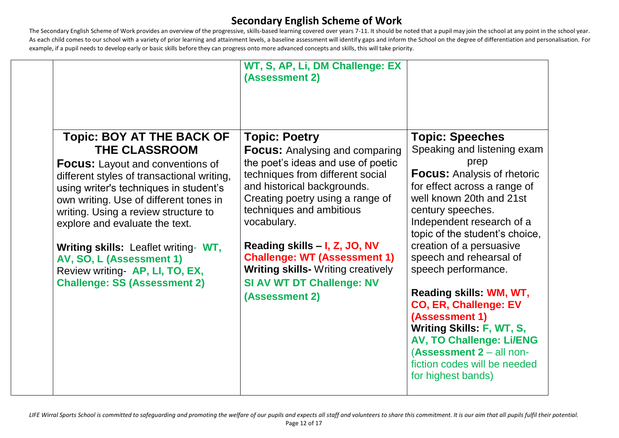The Secondary English Scheme of Work provides an overview of the progressive, skills-based learning covered over years 7-11. It should be noted that a pupil may join the school at any point in the school year. As each child comes to our school with a variety of prior learning and attainment levels, a baseline assessment will identify gaps and inform the School on the degree of differentiation and personalisation. For example, if a pupil needs to develop early or basic skills before they can progress onto more advanced concepts and skills, this will take priority.

|                                                                                                                                                                                                                                                                                                                                                                                                                                                                      | WT, S, AP, Li, DM Challenge: EX<br>(Assessment 2)                                                                                                                                                                                                                                                                                                                                                                                |                                                                                                                                                                                                                                                                                                                                                                                                                                                                                                                                                                         |
|----------------------------------------------------------------------------------------------------------------------------------------------------------------------------------------------------------------------------------------------------------------------------------------------------------------------------------------------------------------------------------------------------------------------------------------------------------------------|----------------------------------------------------------------------------------------------------------------------------------------------------------------------------------------------------------------------------------------------------------------------------------------------------------------------------------------------------------------------------------------------------------------------------------|-------------------------------------------------------------------------------------------------------------------------------------------------------------------------------------------------------------------------------------------------------------------------------------------------------------------------------------------------------------------------------------------------------------------------------------------------------------------------------------------------------------------------------------------------------------------------|
| <b>Topic: BOY AT THE BACK OF</b><br><b>THE CLASSROOM</b><br><b>Focus:</b> Layout and conventions of<br>different styles of transactional writing,<br>using writer's techniques in student's<br>own writing. Use of different tones in<br>writing. Using a review structure to<br>explore and evaluate the text.<br><b>Writing skills:</b> Leaflet writing- WT,<br>AV, SO, L (Assessment 1)<br>Review writing- AP, LI, TO, EX,<br><b>Challenge: SS (Assessment 2)</b> | <b>Topic: Poetry</b><br><b>Focus:</b> Analysing and comparing<br>the poet's ideas and use of poetic<br>techniques from different social<br>and historical backgrounds.<br>Creating poetry using a range of<br>techniques and ambitious<br>vocabulary.<br>Reading skills - I, Z, JO, NV<br><b>Challenge: WT (Assessment 1)</b><br><b>Writing skills- Writing creatively</b><br><b>SI AV WT DT Challenge: NV</b><br>(Assessment 2) | <b>Topic: Speeches</b><br>Speaking and listening exam<br>prep<br><b>Focus: Analysis of rhetoric</b><br>for effect across a range of<br>well known 20th and 21st<br>century speeches.<br>Independent research of a<br>topic of the student's choice,<br>creation of a persuasive<br>speech and rehearsal of<br>speech performance.<br>Reading skills: WM, WT,<br><b>CO, ER, Challenge: EV</b><br>(Assessment 1)<br><b>Writing Skills: F, WT, S,</b><br><b>AV, TO Challenge: Li/ENG</b><br>(Assessment 2 - all non-<br>fiction codes will be needed<br>for highest bands) |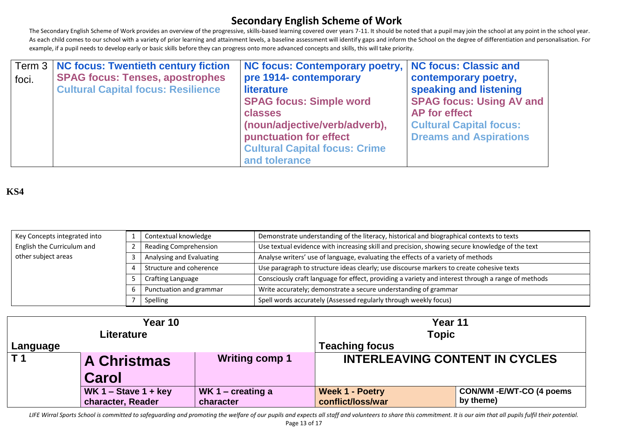The Secondary English Scheme of Work provides an overview of the progressive, skills-based learning covered over years 7-11. It should be noted that a pupil may join the school at any point in the school year. As each child comes to our school with a variety of prior learning and attainment levels, a baseline assessment will identify gaps and inform the School on the degree of differentiation and personalisation. For example, if a pupil needs to develop early or basic skills before they can progress onto more advanced concepts and skills, this will take priority.

|       | Term 3   NC focus: Twentieth century fiction | NC focus: Contemporary poetry,   NC focus: Classic and |                                 |
|-------|----------------------------------------------|--------------------------------------------------------|---------------------------------|
| foci. | <b>SPAG focus: Tenses, apostrophes</b>       | pre 1914- contemporary                                 | contemporary poetry,            |
|       | <b>Cultural Capital focus: Resilience</b>    | literature                                             | speaking and listening          |
|       |                                              | <b>SPAG focus: Simple word</b>                         | <b>SPAG focus: Using AV and</b> |
|       |                                              | classes                                                | <b>AP</b> for effect            |
|       |                                              | (noun/adjective/verb/adverb),                          | <b>Cultural Capital focus:</b>  |
|       |                                              | punctuation for effect                                 | <b>Dreams and Aspirations</b>   |
|       |                                              | <b>Cultural Capital focus: Crime</b>                   |                                 |
|       |                                              | and tolerance                                          |                                 |

## **KS4**

| Key Concepts integrated into                                                                                                        |                              | Demonstrate understanding of the literacy, historical and biographical contexts to texts<br>Contextual knowledge |                                                                                                    |
|-------------------------------------------------------------------------------------------------------------------------------------|------------------------------|------------------------------------------------------------------------------------------------------------------|----------------------------------------------------------------------------------------------------|
| English the Curriculum and                                                                                                          | <b>Reading Comprehension</b> |                                                                                                                  | Use textual evidence with increasing skill and precision, showing secure knowledge of the text     |
| other subject areas<br>Analyse writers' use of language, evaluating the effects of a variety of methods<br>Analysing and Evaluating |                              |                                                                                                                  |                                                                                                    |
| Structure and coherence                                                                                                             |                              |                                                                                                                  | Use paragraph to structure ideas clearly; use discourse markers to create cohesive texts           |
|                                                                                                                                     |                              | Crafting Language                                                                                                | Consciously craft language for effect, providing a variety and interest through a range of methods |
|                                                                                                                                     |                              | Punctuation and grammar                                                                                          | Write accurately; demonstrate a secure understanding of grammar                                    |
|                                                                                                                                     |                              | Spelling                                                                                                         | Spell words accurately (Assessed regularly through weekly focus)                                   |

| Year 10        |                                             |                   | Year 11                               |                           |
|----------------|---------------------------------------------|-------------------|---------------------------------------|---------------------------|
| Literature     |                                             |                   | <b>Topic</b>                          |                           |
| Language       |                                             |                   | <b>Teaching focus</b>                 |                           |
| T <sub>1</sub> | <b>Writing comp 1</b><br><b>A Christmas</b> |                   | <b>INTERLEAVING CONTENT IN CYCLES</b> |                           |
| Carol          |                                             |                   |                                       |                           |
|                | WK $1 -$ Stave $1 +$ key                    | WK 1 – creating a | <b>Week 1 - Poetry</b>                | CON/WM - E/WT-CO (4 poems |
|                | character, Reader                           | character         | conflict/loss/war                     | by theme)                 |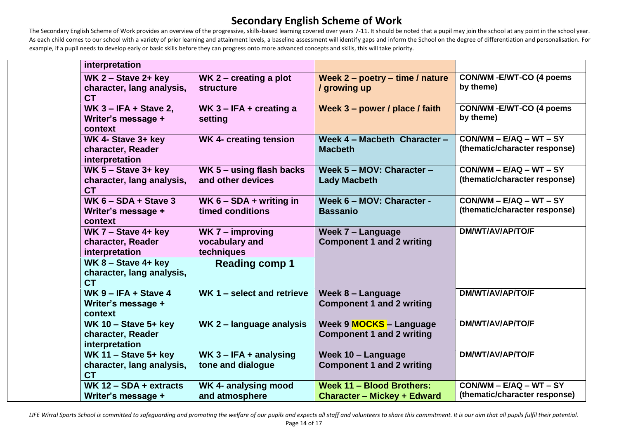The Secondary English Scheme of Work provides an overview of the progressive, skills-based learning covered over years 7-11. It should be noted that a pupil may join the school at any point in the school year. As each child comes to our school with a variety of prior learning and attainment levels, a baseline assessment will identify gaps and inform the School on the degree of differentiation and personalisation. For example, if a pupil needs to develop early or basic skills before they can progress onto more advanced concepts and skills, this will take priority.

| interpretation                                                     |                                                    |                                                                    |                                                            |
|--------------------------------------------------------------------|----------------------------------------------------|--------------------------------------------------------------------|------------------------------------------------------------|
| WK $2 -$ Stave $2 +$ key<br>character, lang analysis,<br><b>CT</b> | WK $2$ – creating a plot<br><b>structure</b>       | Week 2 - poetry - time / nature<br>/ growing up                    | CON/WM - E/WT-CO (4 poems<br>by theme)                     |
| WK $3 - IFA + Stave 2$ ,<br>Writer's message +<br>context          | WK $3 - IFA + creating a$<br>setting               | Week 3 - power / place / faith                                     | <b>CON/WM - E/WT-CO (4 poems</b><br>by theme)              |
| WK 4- Stave 3+ key<br>character, Reader<br>interpretation          | <b>WK 4- creating tension</b>                      | Week 4 - Macbeth Character -<br><b>Macbeth</b>                     | $CON/WM - E/AQ - WT - SY$<br>(thematic/character response) |
| WK $5 -$ Stave $3+$ key<br>character, lang analysis,<br><b>CT</b>  | WK 5 - using flash backs<br>and other devices      | Week 5 - MOV: Character -<br><b>Lady Macbeth</b>                   | $CON/WM - E/AQ - WT - SY$<br>(thematic/character response) |
| WK $6 - SDA + Stave 3$<br>Writer's message +<br>context            | WK $6 - SDA + writing$ in<br>timed conditions      | Week 6 - MOV: Character -<br><b>Bassanio</b>                       | $CON/WM - E/AQ - WT - SY$<br>(thematic/character response) |
| WK $7 -$ Stave 4+ key<br>character, Reader<br>interpretation       | WK $7 -$ improving<br>vocabulary and<br>techniques | Week 7 - Language<br><b>Component 1 and 2 writing</b>              | <b>DM/WT/AV/AP/TO/F</b>                                    |
| WK $8 -$ Stave 4+ key<br>character, lang analysis,<br><b>CT</b>    | <b>Reading comp 1</b>                              |                                                                    |                                                            |
| WK $9 - IFA + Stave 4$<br>Writer's message +<br>context            | WK 1 - select and retrieve                         | Week 8 - Language<br><b>Component 1 and 2 writing</b>              | DM/WT/AV/AP/TO/F                                           |
| WK 10 - Stave $5+$ key<br>character, Reader<br>interpretation      | WK 2 - language analysis                           | Week 9 <b>MOCKS</b> - Language<br><b>Component 1 and 2 writing</b> | DM/WT/AV/AP/TO/F                                           |
| WK 11 - Stave $5+$ key<br>character, lang analysis,<br><b>CT</b>   | WK $3 - IFA + analysis$<br>tone and dialogue       | Week 10 - Language<br><b>Component 1 and 2 writing</b>             | <b>DM/WT/AV/AP/TO/F</b>                                    |
| WK $12 - SDA + extracts$<br>Writer's message +                     | WK 4- analysing mood<br>and atmosphere             | Week 11 - Blood Brothers:<br><b>Character - Mickey + Edward</b>    | $CON/WM - E/AQ - WT - SY$<br>(thematic/character response) |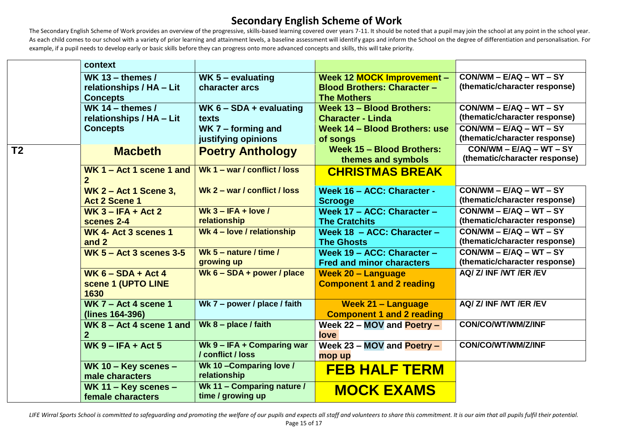The Secondary English Scheme of Work provides an overview of the progressive, skills-based learning covered over years 7-11. It should be noted that a pupil may join the school at any point in the school year. As each child comes to our school with a variety of prior learning and attainment levels, a baseline assessment will identify gaps and inform the School on the degree of differentiation and personalisation. For example, if a pupil needs to develop early or basic skills before they can progress onto more advanced concepts and skills, this will take priority.

|                          | context                                    |                                                 |                                    |                               |
|--------------------------|--------------------------------------------|-------------------------------------------------|------------------------------------|-------------------------------|
|                          | WK 13 - themes $/$                         | WK 5 - evaluating                               | Week 12 <b>MOCK Improvement -</b>  | $CON/WM - E/AQ - WT - SY$     |
|                          | relationships / HA - Lit                   | character arcs                                  | <b>Blood Brothers: Character -</b> | (thematic/character response) |
|                          | <b>Concepts</b>                            |                                                 | <b>The Mothers</b>                 |                               |
|                          | WK 14 - themes $/$                         | WK $6 - SDA + evaluating$                       | Week 13 - Blood Brothers:          | $CON/WM - E/AQ - WT - SY$     |
|                          | relationships / HA - Lit                   | texts                                           | <b>Character - Linda</b>           | (thematic/character response) |
|                          | <b>Concepts</b>                            | $WK 7 - forming and$                            | Week 14 - Blood Brothers: use      | $CON/WM - E/AQ - WT - SY$     |
|                          |                                            | justifying opinions                             | of songs                           | (thematic/character response) |
| $\overline{\mathsf{T2}}$ | <b>Macbeth</b>                             | <b>Poetry Anthology</b>                         | Week 15 - Blood Brothers:          | $CON/WM - E/AQ - WT - SY$     |
|                          |                                            | Wk 1 - war / conflict / loss                    | themes and symbols                 | (thematic/character response) |
|                          | WK $1 -$ Act 1 scene 1 and<br>$\mathbf{2}$ |                                                 | <b>CHRISTMAS BREAK</b>             |                               |
|                          | <b>WK 2 - Act 1 Scene 3,</b>               | Wk 2 - war / conflict / loss                    | Week 16 - ACC: Character -         | $CON/WM - E/AQ - WT - SY$     |
|                          | <b>Act 2 Scene 1</b>                       |                                                 | <b>Scrooge</b>                     | (thematic/character response) |
|                          | $WK 3 - IFA + Act 2$                       | Wk $3 - IFA + Iove / I$                         | Week 17 - ACC: Character -         | $CON/WM - E/AQ - WT - SY$     |
|                          | scenes 2-4                                 | relationship                                    | <b>The Cratchits</b>               | (thematic/character response) |
|                          | WK 4- Act 3 scenes 1                       | Wk 4 - love / relationship                      | Week 18 - ACC: Character -         | $CON/WM - E/AQ - WT - SY$     |
|                          | and 2                                      |                                                 | <b>The Ghosts</b>                  | (thematic/character response) |
|                          | WK $5 -$ Act 3 scenes 3-5                  | Wk 5 - nature / time /                          | Week 19 - ACC: Character -         | $CON/WM - E/AQ - WT - SY$     |
|                          |                                            | growing up                                      | <b>Fred and minor characters</b>   | (thematic/character response) |
|                          | $WK 6 - SDA + Act 4$                       | Wk $6 - SDA + power / place$                    | <b>Week 20 - Language</b>          | AQ/ Z/ INF /WT /ER /EV        |
|                          | scene 1 (UPTO LINE<br>1630                 |                                                 | <b>Component 1 and 2 reading</b>   |                               |
|                          | WK $7 - Act 4$ scene 1                     | Wk 7 - power / place / faith                    | <b>Week 21 - Language</b>          | AQ/ Z/ INF /WT /ER /EV        |
|                          | (lines 164-396)                            |                                                 | <b>Component 1 and 2 reading</b>   |                               |
|                          | WK $8 - Act 4 scene 1 and$                 | Wk $8$ – place / faith                          | Week $22 - MOV$ and Poetry -       | CON/CO/WT/WM/Z/INF            |
|                          | $\mathbf{2}$                               |                                                 | love                               |                               |
|                          | $WK 9 - IFA + Act 5$                       | Wk 9 - IFA + Comparing war<br>/ conflict / loss | Week $23 - MOV$ and Poetry -       | CON/CO/WT/WM/Z/INF            |
|                          |                                            |                                                 | mop up                             |                               |
|                          | WK 10 - Key scenes -<br>male characters    | Wk 10-Comparing love /<br>relationship          | <b>FEB HALF TERM</b>               |                               |
|                          | WK 11 - Key scenes -<br>female characters  | Wk 11 - Comparing nature /<br>time / growing up | <b>MOCK EXAMS</b>                  |                               |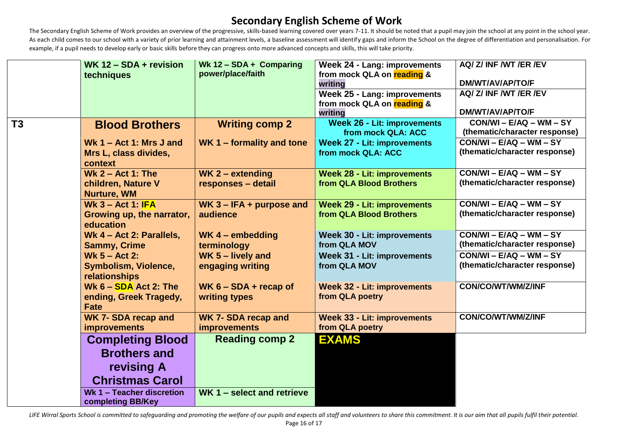The Secondary English Scheme of Work provides an overview of the progressive, skills-based learning covered over years 7-11. It should be noted that a pupil may join the school at any point in the school year. As each child comes to our school with a variety of prior learning and attainment levels, a baseline assessment will identify gaps and inform the School on the degree of differentiation and personalisation. For example, if a pupil needs to develop early or basic skills before they can progress onto more advanced concepts and skills, this will take priority.

|                | WK 12 - SDA + revision<br>techniques                             | Wk $12 - SDA + Comparing$<br>power/place/faith    | <b>Week 24 - Lang: improvements</b><br>from mock QLA on reading & | AQ/ Z/ INF /WT /ER /EV                                                |
|----------------|------------------------------------------------------------------|---------------------------------------------------|-------------------------------------------------------------------|-----------------------------------------------------------------------|
|                |                                                                  |                                                   | writing<br>Week 25 - Lang: improvements                           | DM/WT/AV/AP/TO/F<br>AQ/ Z/ INF /WT /ER /EV                            |
|                |                                                                  |                                                   | from mock QLA on reading &<br>writing                             | <b>DM/WT/AV/AP/TO/F</b>                                               |
| T <sub>3</sub> | <b>Blood Brothers</b>                                            | <b>Writing comp 2</b>                             | <b>Week 26 - Lit: improvements</b><br>from mock QLA: ACC          | $CON/WI - E/AQ - WM - SY$<br>(thematic/character response)            |
|                | Wk $1 - Act 1$ : Mrs J and<br>Mrs L, class divides,<br>context   | WK 1 - formality and tone                         | <b>Week 27 - Lit: improvements</b><br>from mock QLA: ACC          | $\overline{CON/WI}$ – E/AQ – WM – SY<br>(thematic/character response) |
|                | Wk $2 - Act 1$ : The<br>children, Nature V<br><b>Nurture, WM</b> | WK $2$ – extending<br>responses - detail          | <b>Week 28 - Lit: improvements</b><br>from QLA Blood Brothers     | $CON/WI - E/AQ - WM - SY$<br>(thematic/character response)            |
|                | Wk $3 - Act 1$ : IFA<br>Growing up, the narrator,<br>education   | WK $3 - IFA + purpose$ and<br>audience            | <b>Week 29 - Lit: improvements</b><br>from QLA Blood Brothers     | $CON/WI - E/AQ - WM - SY$<br>(thematic/character response)            |
|                | Wk 4 - Act 2: Parallels,<br><b>Sammy, Crime</b>                  | WK $4$ – embedding<br>terminology                 | <b>Week 30 - Lit: improvements</b><br>from QLA MOV                | $CON/WI - E/AQ - WM - SY$<br>(thematic/character response)            |
|                | Wk $5 - Act 2$ :<br>Symbolism, Violence,<br>relationships        | WK 5 - lively and<br>engaging writing             | Week 31 - Lit: improvements<br>from QLA MOV                       | $\overline{CON/WI} - E/AQ - WM - SY$<br>(thematic/character response) |
|                | Wk $6 - SDA$ Act 2: The<br>ending, Greek Tragedy,<br><b>Fate</b> | WK $6 - SDA +$ recap of<br>writing types          | <b>Week 32 - Lit: improvements</b><br>from QLA poetry             | CON/CO/WT/WM/Z/INF                                                    |
|                | <b>WK 7- SDA recap and</b><br><b>improvements</b>                | <b>WK 7- SDA recap and</b><br><b>improvements</b> | <b>Week 33 - Lit: improvements</b><br>from QLA poetry             | CON/CO/WT/WM/Z/INF                                                    |
|                | <b>Completing Blood</b>                                          | <b>Reading comp 2</b>                             | <b>EXAMS</b>                                                      |                                                                       |
|                | <b>Brothers and</b>                                              |                                                   |                                                                   |                                                                       |
|                | revising A                                                       |                                                   |                                                                   |                                                                       |
|                | <b>Christmas Carol</b>                                           |                                                   |                                                                   |                                                                       |
|                | Wk 1 - Teacher discretion<br>completing BB/Key                   | WK 1 – select and retrieve                        |                                                                   |                                                                       |